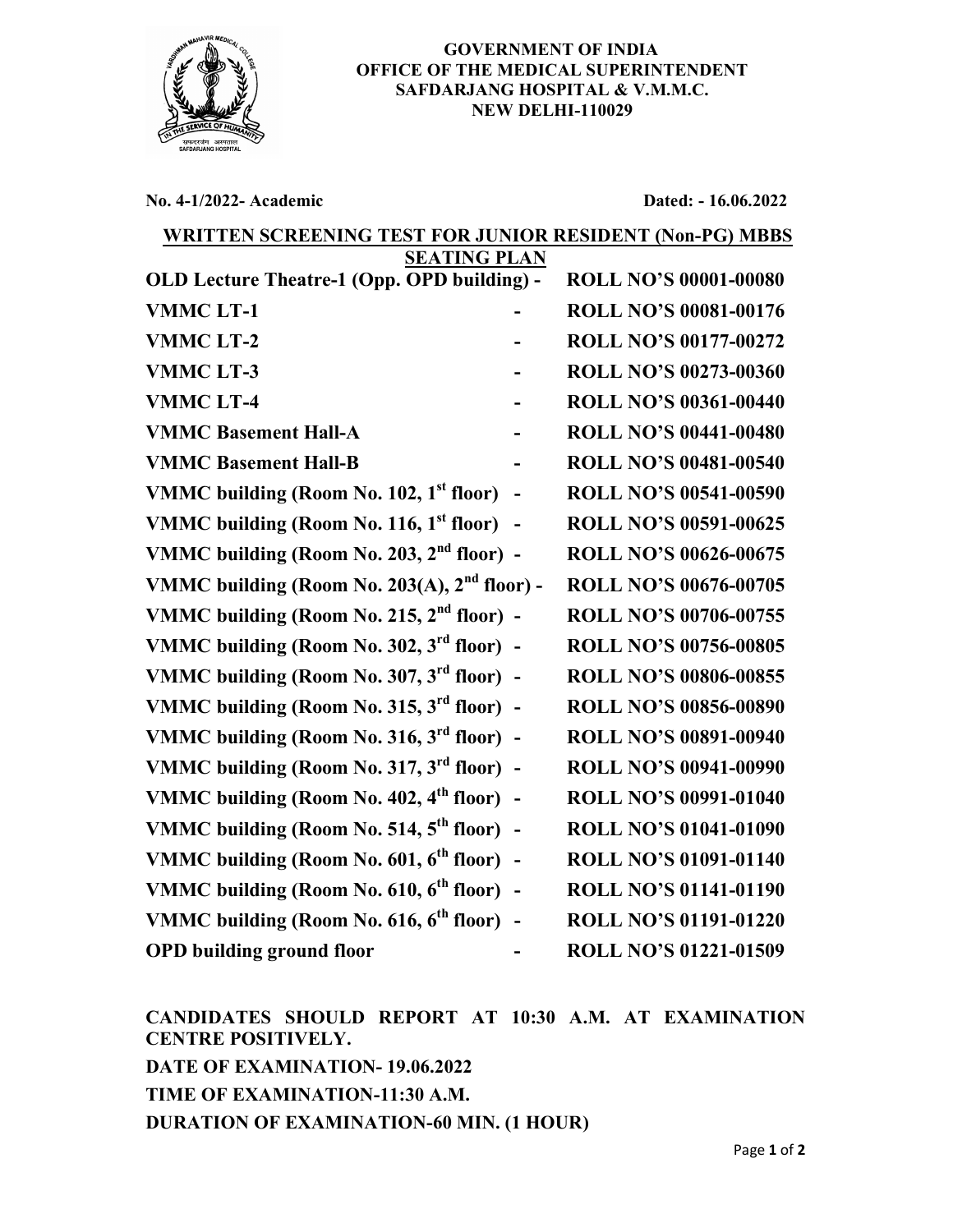

## GOVERNMENT OF INDIA OFFICE OF THE MEDICAL SUPERINTENDENT SAFDARJANG HOSPITAL & V.M.M.C. NEW DELHI-110029

No. 4-1/2022- Academic Dated: - 16.06.2022

## WRITTEN SCREENING TEST FOR JUNIOR RESIDENT (Non-PG) MBBS

| <b>SEATING PLAN</b>                                   |  |                              |
|-------------------------------------------------------|--|------------------------------|
| OLD Lecture Theatre-1 (Opp. OPD building) -           |  | <b>ROLL NO'S 00001-00080</b> |
| <b>VMMCLT-1</b>                                       |  | <b>ROLL NO'S 00081-00176</b> |
| <b>VMMCLT-2</b>                                       |  | <b>ROLL NO'S 00177-00272</b> |
| <b>VMMCLT-3</b>                                       |  | <b>ROLL NO'S 00273-00360</b> |
| <b>VMMCLT-4</b>                                       |  | <b>ROLL NO'S 00361-00440</b> |
| <b>VMMC Basement Hall-A</b>                           |  | <b>ROLL NO'S 00441-00480</b> |
| <b>VMMC Basement Hall-B</b>                           |  | <b>ROLL NO'S 00481-00540</b> |
| VMMC building (Room No. 102, 1 <sup>st</sup> floor)   |  | <b>ROLL NO'S 00541-00590</b> |
| VMMC building (Room No. 116, 1 <sup>st</sup> floor)   |  | <b>ROLL NO'S 00591-00625</b> |
| VMMC building (Room No. 203, $2nd$ floor) -           |  | <b>ROLL NO'S 00626-00675</b> |
| VMMC building (Room No. 203(A), $2nd$ floor) -        |  | <b>ROLL NO'S 00676-00705</b> |
| VMMC building (Room No. 215, $2nd$ floor) -           |  | <b>ROLL NO'S 00706-00755</b> |
| VMMC building (Room No. 302, 3 <sup>rd</sup> floor) - |  | <b>ROLL NO'S 00756-00805</b> |
| VMMC building (Room No. 307, 3 <sup>rd</sup> floor) - |  | <b>ROLL NO'S 00806-00855</b> |
| VMMC building (Room No. 315, $3^{\text{rd}}$ floor) - |  | <b>ROLL NO'S 00856-00890</b> |
| VMMC building (Room No. 316, 3 <sup>rd</sup> floor) - |  | <b>ROLL NO'S 00891-00940</b> |
| VMMC building (Room No. 317, 3 <sup>rd</sup> floor) - |  | <b>ROLL NO'S 00941-00990</b> |
| VMMC building (Room No. 402, 4 <sup>th</sup> floor)   |  | <b>ROLL NO'S 00991-01040</b> |
| VMMC building (Room No. 514, 5 <sup>th</sup> floor) - |  | <b>ROLL NO'S 01041-01090</b> |
| VMMC building (Room No. 601, 6 <sup>th</sup> floor) - |  | <b>ROLL NO'S 01091-01140</b> |
| VMMC building (Room No. 610, 6 <sup>th</sup> floor) - |  | <b>ROLL NO'S 01141-01190</b> |
| VMMC building (Room No. 616, 6 <sup>th</sup> floor) - |  | <b>ROLL NO'S 01191-01220</b> |
| <b>OPD building ground floor</b>                      |  | <b>ROLL NO'S 01221-01509</b> |

CANDIDATES SHOULD REPORT AT 10:30 A.M. AT EXAMINATION CENTRE POSITIVELY. DATE OF EXAMINATION- 19.06.2022 TIME OF EXAMINATION-11:30 A.M. DURATION OF EXAMINATION-60 MIN. (1 HOUR)